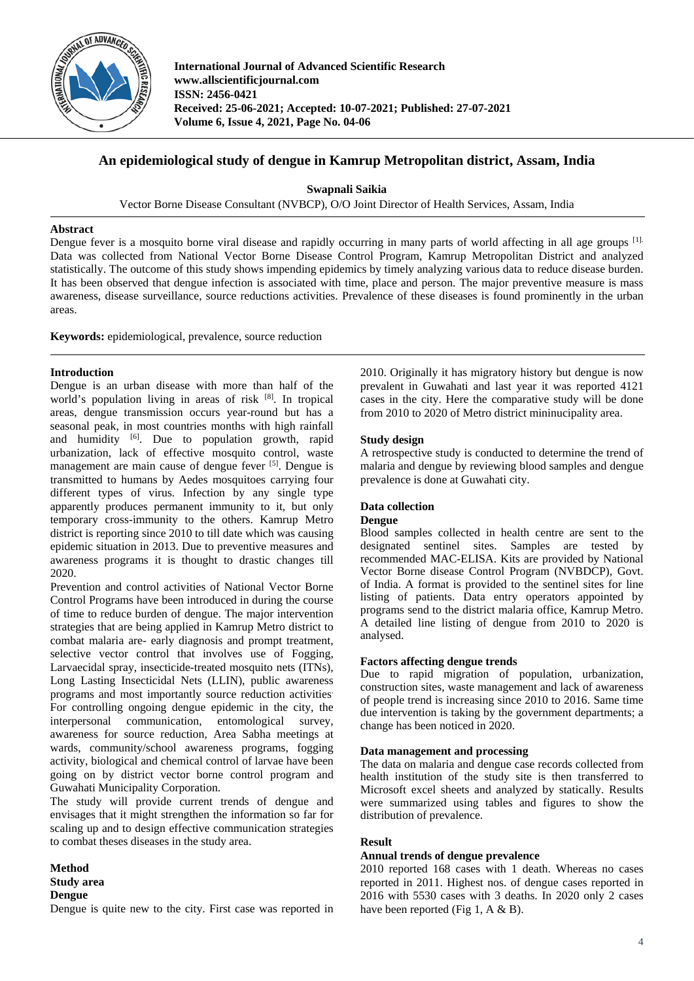

**International Journal of Advanced Scientific Research www.allscientificjournal.com ISSN: 2456-0421 Received: 25-06-2021; Accepted: 10-07-2021; Published: 27-07-2021 Volume 6, Issue 4, 2021, Page No. 04-06**

# **An epidemiological study of dengue in Kamrup Metropolitan district, Assam, India**

**Swapnali Saikia**

Vector Borne Disease Consultant (NVBCP), O/O Joint Director of Health Services, Assam, India

# **Abstract**

Dengue fever is a mosquito borne viral disease and rapidly occurring in many parts of world affecting in all age groups [1]. Data was collected from National Vector Borne Disease Control Program, Kamrup Metropolitan District and analyzed statistically. The outcome of this study shows impending epidemics by timely analyzing various data to reduce disease burden. It has been observed that dengue infection is associated with time, place and person. The major preventive measure is mass awareness, disease surveillance, source reductions activities. Prevalence of these diseases is found prominently in the urban areas.

**Keywords:** epidemiological, prevalence, source reduction

# **Introduction**

Dengue is an urban disease with more than half of the world's population living in areas of risk [8]. In tropical areas, dengue transmission occurs year-round but has a seasonal peak, in most countries months with high rainfall and humidity <a>[6]</a>. Due to population growth, rapid urbanization, lack of effective mosquito control, waste management are main cause of dengue fever [5]. Dengue is transmitted to humans by Aedes mosquitoes carrying four different types of virus. Infection by any single type apparently produces permanent immunity to it, but only temporary cross-immunity to the others. Kamrup Metro district is reporting since 2010 to till date which was causing epidemic situation in 2013. Due to preventive measures and awareness programs it is thought to drastic changes till 2020.

Prevention and control activities of National Vector Borne Control Programs have been introduced in during the course of time to reduce burden of dengue. The major intervention strategies that are being applied in Kamrup Metro district to combat malaria are- early diagnosis and prompt treatment, selective vector control that involves use of Fogging, Larvaecidal spray, insecticide-treated mosquito nets (ITNs), Long Lasting Insecticidal Nets (LLIN), public awareness programs and most importantly source reduction activities. For controlling ongoing dengue epidemic in the city, the interpersonal communication, entomological survey, awareness for source reduction, Area Sabha meetings at wards, community/school awareness programs, fogging activity, biological and chemical control of larvae have been going on by district vector borne control program and Guwahati Municipality Corporation.

The study will provide current trends of dengue and envisages that it might strengthen the information so far for scaling up and to design effective communication strategies to combat theses diseases in the study area.

**Method Study area**

# **Dengue**

Dengue is quite new to the city. First case was reported in

2010. Originally it has migratory history but dengue is now prevalent in Guwahati and last year it was reported 4121 cases in the city. Here the comparative study will be done from 2010 to 2020 of Metro district mininucipality area.

# **Study design**

A retrospective study is conducted to determine the trend of malaria and dengue by reviewing blood samples and dengue prevalence is done at Guwahati city.

# **Data collection**

# **Dengue**

Blood samples collected in health centre are sent to the designated sentinel sites. Samples are tested by recommended MAC-ELISA. Kits are provided by National Vector Borne disease Control Program (NVBDCP), Govt. of India. A format is provided to the sentinel sites for line listing of patients. Data entry operators appointed by programs send to the district malaria office, Kamrup Metro. A detailed line listing of dengue from 2010 to 2020 is analysed.

# **Factors affecting dengue trends**

Due to rapid migration of population, urbanization, construction sites, waste management and lack of awareness of people trend is increasing since 2010 to 2016. Same time due intervention is taking by the government departments; a change has been noticed in 2020.

#### **Data management and processing**

The data on malaria and dengue case records collected from health institution of the study site is then transferred to Microsoft excel sheets and analyzed by statically. Results were summarized using tables and figures to show the distribution of prevalence.

# **Result**

# **Annual trends of dengue prevalence**

2010 reported 168 cases with 1 death. Whereas no cases reported in 2011. Highest nos. of dengue cases reported in 2016 with 5530 cases with 3 deaths. In 2020 only 2 cases have been reported (Fig 1, A & B).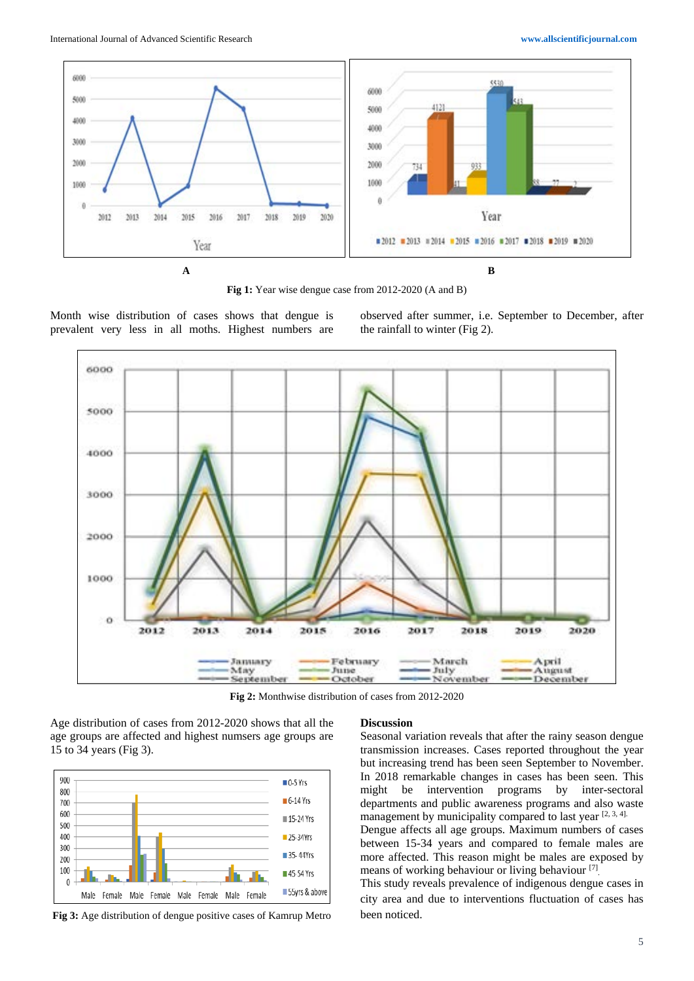

Fig 1: Year wise dengue case from 2012-2020 (A and B)

Month wise distribution of cases shows that dengue is prevalent very less in all moths. Highest numbers are observed after summer, i.e. September to December, after the rainfall to winter (Fig 2).



**Fig 2:** Monthwise distribution of cases from 2012-2020

Age distribution of cases from 2012-2020 shows that all the age groups are affected and highest numsers age groups are 15 to 34 years (Fig 3).



**Fig 3:** Age distribution of dengue positive cases of Kamrup Metro

#### **Discussion**

Seasonal variation reveals that after the rainy season dengue transmission increases. Cases reported throughout the year but increasing trend has been seen September to November. In 2018 remarkable changes in cases has been seen. This might be intervention programs by inter-sectoral departments and public awareness programs and also waste management by municipality compared to last year  $[2, 3, 4]$ .

Dengue affects all age groups. Maximum numbers of cases between 15-34 years and compared to female males are more affected. This reason might be males are exposed by means of working behaviour or living behaviour<sup>[7]</sup>

This study reveals prevalence of indigenous dengue cases in city area and due to interventions fluctuation of cases has been noticed.